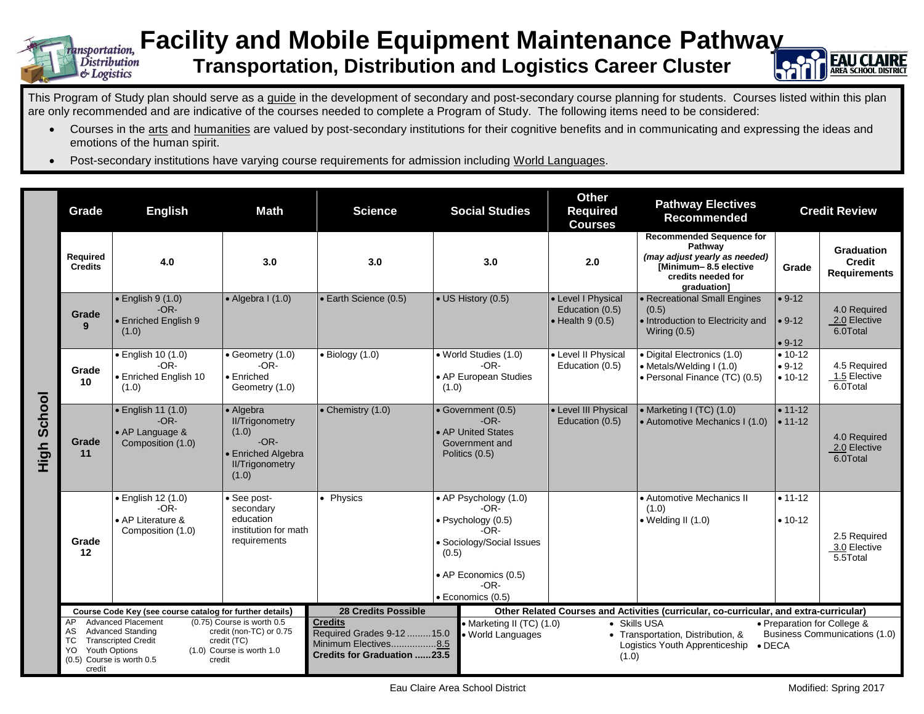

## **Facility and Mobile Equipment Maintenance Pathway Transportation, Distribution and Logistics Career Cluster**



This Program of Study plan should serve as a quide in the development of secondary and post-secondary course planning for students. Courses listed within this plan are only recommended and are indicative of the courses needed to complete a Program of Study. The following items need to be considered:

- Courses in the arts and humanities are valued by post-secondary institutions for their cognitive benefits and in communicating and expressing the ideas and emotions of the human spirit.
- Post-secondary institutions have varying course requirements for admission including World Languages.

|                | Grade                                                                                                                                                                                                                                                                                             | <b>English</b>                                                                 | <b>Math</b>                                                                                                     | <b>Science</b>                                                                                                                                                                                                                                                                                                                                | <b>Social Studies</b>                                                                                                                                      | <b>Other</b><br><b>Required</b><br><b>Courses</b>                                      | <b>Pathway Electives</b><br><b>Recommended</b>                                                                                            |                                        | <b>Credit Review</b>                                      |
|----------------|---------------------------------------------------------------------------------------------------------------------------------------------------------------------------------------------------------------------------------------------------------------------------------------------------|--------------------------------------------------------------------------------|-----------------------------------------------------------------------------------------------------------------|-----------------------------------------------------------------------------------------------------------------------------------------------------------------------------------------------------------------------------------------------------------------------------------------------------------------------------------------------|------------------------------------------------------------------------------------------------------------------------------------------------------------|----------------------------------------------------------------------------------------|-------------------------------------------------------------------------------------------------------------------------------------------|----------------------------------------|-----------------------------------------------------------|
|                | Required<br><b>Credits</b>                                                                                                                                                                                                                                                                        | 4.0                                                                            | 3.0                                                                                                             | 3.0                                                                                                                                                                                                                                                                                                                                           | 3.0                                                                                                                                                        | 2.0                                                                                    | <b>Recommended Sequence for</b><br>Pathway<br>(may adjust yearly as needed)<br>[Minimum-8.5 elective<br>credits needed for<br>graduation] | Grade                                  | <b>Graduation</b><br><b>Credit</b><br><b>Requirements</b> |
|                | Grade<br>9                                                                                                                                                                                                                                                                                        | $\bullet$ English 9 (1.0)<br>$-OR-$<br>• Enriched English 9<br>(1.0)           | $\bullet$ Algebra I (1.0)                                                                                       | • Earth Science (0.5)                                                                                                                                                                                                                                                                                                                         | • US History (0.5)                                                                                                                                         | • Level I Physical<br>Education (0.5)<br>$\bullet$ Health 9 (0.5)                      | • Recreational Small Engines<br>(0.5)<br>• Introduction to Electricity and<br>Wiring $(0.5)$                                              | $• 9-12$<br>$• 9-12$<br>$• 9-12$       | 4.0 Required<br>2.0 Elective<br>6.0Total                  |
|                | Grade<br>10                                                                                                                                                                                                                                                                                       | · English 10 (1.0)<br>$-OR-$<br>• Enriched English 10<br>(1.0)                 | • Geometry (1.0)<br>$-OR-$<br>$\bullet$ Enriched<br>Geometry (1.0)                                              | $\bullet$ Biology (1.0)                                                                                                                                                                                                                                                                                                                       | • World Studies (1.0)<br>$-OR-$<br>• AP European Studies<br>(1.0)                                                                                          | • Level II Physical<br>Education (0.5)                                                 | • Digital Electronics (1.0)<br>• Metals/Welding I (1.0)<br>· Personal Finance (TC) (0.5)                                                  | $• 10 - 12$<br>$• 9-12$<br>$• 10 - 12$ | 4.5 Required<br>1.5 Elective<br>6.0Total                  |
| School<br>High | Grade<br>11                                                                                                                                                                                                                                                                                       | $\bullet$ English 11 (1.0)<br>$-OR-$<br>• AP Language &<br>Composition (1.0)   | • Algebra<br><b>II/Trigonometry</b><br>(1.0)<br>$-OR-$<br>• Enriched Algebra<br><b>II/Trigonometry</b><br>(1.0) | $\bullet$ Chemistry (1.0)                                                                                                                                                                                                                                                                                                                     | · Government (0.5)<br>$-OR-$<br>• AP United States<br>Government and<br>Politics (0.5)                                                                     | • Level III Physical<br>Education (0.5)                                                | • Marketing I (TC) (1.0)<br>• Automotive Mechanics I (1.0)                                                                                | $• 11 - 12$<br>$• 11 - 12$             | 4.0 Required<br>2.0 Elective<br>6.0Total                  |
|                | Grade<br>12                                                                                                                                                                                                                                                                                       | $\bullet$ English 12 (1.0)<br>$-OR-$<br>• AP Literature &<br>Composition (1.0) | · See post-<br>secondary<br>education<br>institution for math<br>requirements                                   | • Physics                                                                                                                                                                                                                                                                                                                                     | • AP Psychology (1.0)<br>$-OR-$<br>· Psychology (0.5)<br>-OR-<br>· Sociology/Social Issues<br>(0.5)<br>• AP Economics (0.5)<br>$-OR-$<br>· Economics (0.5) |                                                                                        | • Automotive Mechanics II<br>(1.0)<br>$\bullet$ Welding II (1.0)                                                                          | $• 11 - 12$<br>$• 10-12$               | 2.5 Required<br>3.0 Elective<br>5.5Total                  |
|                | Course Code Key (see course catalog for further details)                                                                                                                                                                                                                                          |                                                                                |                                                                                                                 | <b>28 Credits Possible</b>                                                                                                                                                                                                                                                                                                                    |                                                                                                                                                            | Other Related Courses and Activities (curricular, co-curricular, and extra-curricular) |                                                                                                                                           |                                        |                                                           |
|                | <b>Advanced Placement</b><br>(0.75) Course is worth 0.5<br>AP<br><b>Advanced Standing</b><br>credit (non-TC) or 0.75<br>AS<br>ТC<br><b>Transcripted Credit</b><br>credit (TC)<br><b>Youth Options</b><br>$(1.0)$ Course is worth $1.0$<br>YO<br>$(0.5)$ Course is worth $0.5$<br>credit<br>credit |                                                                                |                                                                                                                 | <b>Credits</b><br>• Marketing II (TC) (1.0)<br>• Skills USA<br>• Preparation for College &<br>Required Grades 9-12 15.0<br>Business Communications (1.0)<br>• Transportation, Distribution, &<br>· World Languages<br>Minimum Electives8.5<br>Logistics Youth Apprenticeship<br>$\bullet$ DECA<br><b>Credits for Graduation 23.5</b><br>(1.0) |                                                                                                                                                            |                                                                                        |                                                                                                                                           |                                        |                                                           |